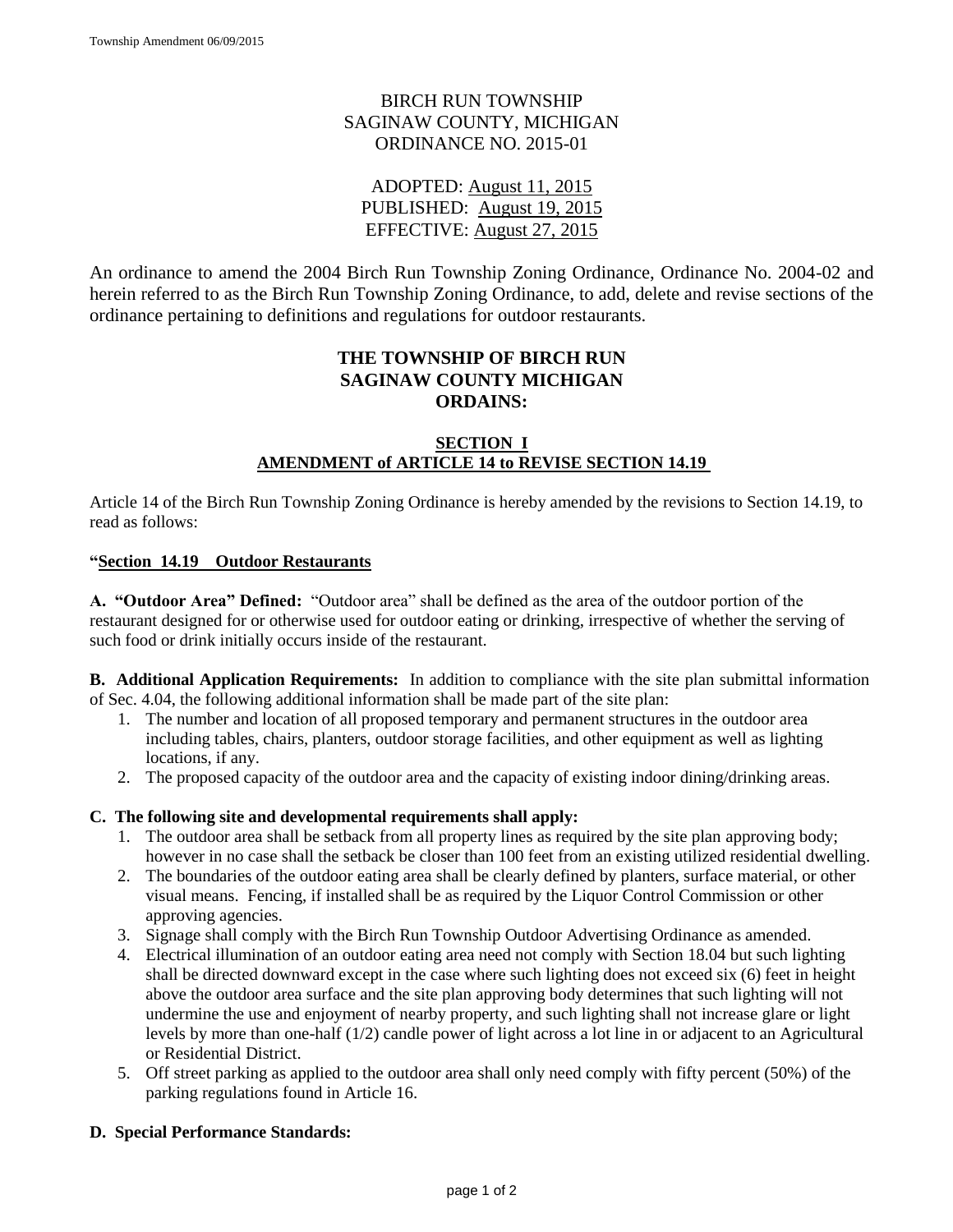## BIRCH RUN TOWNSHIP SAGINAW COUNTY, MICHIGAN ORDINANCE NO. 2015-01

ADOPTED: August 11, 2015 PUBLISHED: August 19, 2015 EFFECTIVE: August 27, 2015

An ordinance to amend the 2004 Birch Run Township Zoning Ordinance, Ordinance No. 2004-02 and herein referred to as the Birch Run Township Zoning Ordinance, to add, delete and revise sections of the ordinance pertaining to definitions and regulations for outdoor restaurants.

## **THE TOWNSHIP OF BIRCH RUN SAGINAW COUNTY MICHIGAN ORDAINS:**

#### **SECTION I AMENDMENT of ARTICLE 14 to REVISE SECTION 14.19**

Article 14 of the Birch Run Township Zoning Ordinance is hereby amended by the revisions to Section 14.19, to read as follows:

#### **"Section 14.19 Outdoor Restaurants**

**A. "Outdoor Area" Defined:** "Outdoor area" shall be defined as the area of the outdoor portion of the restaurant designed for or otherwise used for outdoor eating or drinking, irrespective of whether the serving of such food or drink initially occurs inside of the restaurant.

**B. Additional Application Requirements:** In addition to compliance with the site plan submittal information of Sec. 4.04, the following additional information shall be made part of the site plan:

- 1. The number and location of all proposed temporary and permanent structures in the outdoor area including tables, chairs, planters, outdoor storage facilities, and other equipment as well as lighting locations, if any.
- 2. The proposed capacity of the outdoor area and the capacity of existing indoor dining/drinking areas.

#### **C. The following site and developmental requirements shall apply:**

- 1. The outdoor area shall be setback from all property lines as required by the site plan approving body; however in no case shall the setback be closer than 100 feet from an existing utilized residential dwelling.
- 2. The boundaries of the outdoor eating area shall be clearly defined by planters, surface material, or other visual means. Fencing, if installed shall be as required by the Liquor Control Commission or other approving agencies.
- 3. Signage shall comply with the Birch Run Township Outdoor Advertising Ordinance as amended.
- 4. Electrical illumination of an outdoor eating area need not comply with Section 18.04 but such lighting shall be directed downward except in the case where such lighting does not exceed six (6) feet in height above the outdoor area surface and the site plan approving body determines that such lighting will not undermine the use and enjoyment of nearby property, and such lighting shall not increase glare or light levels by more than one-half (1/2) candle power of light across a lot line in or adjacent to an Agricultural or Residential District.
- 5. Off street parking as applied to the outdoor area shall only need comply with fifty percent (50%) of the parking regulations found in Article 16.

#### **D. Special Performance Standards:**